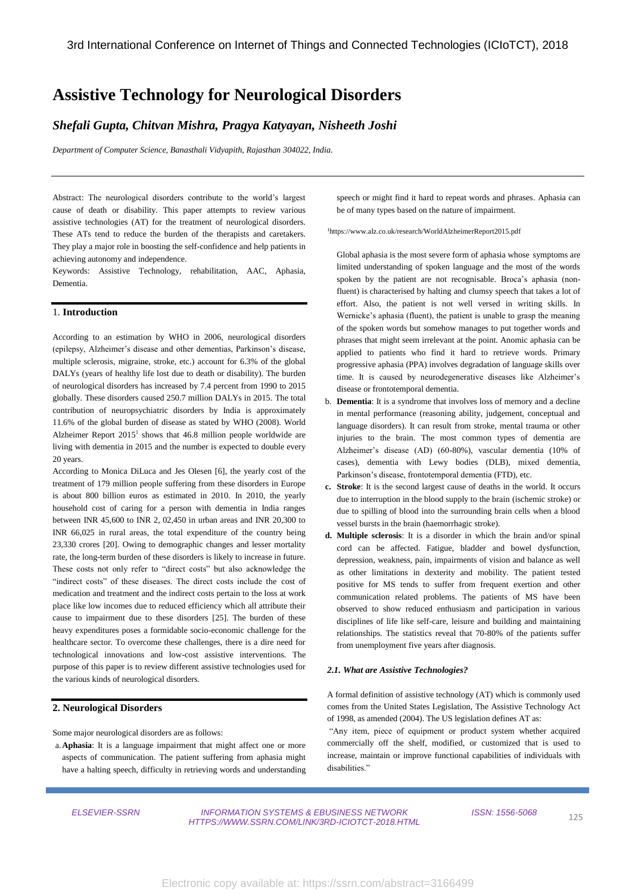# **Assistive Technology for Neurological Disorders**

# *Shefali Gupta, Chitvan Mishra, Pragya Katyayan, Nisheeth Joshi*

*Department of Computer Science, Banasthali Vidyapith, Rajasthan 304022, India.*

Abstract: The neurological disorders contribute to the world's largest cause of death or disability. This paper attempts to review various assistive technologies (AT) for the treatment of neurological disorders. These ATs tend to reduce the burden of the therapists and caretakers. They play a major role in boosting the self-confidence and help patients in achieving autonomy and independence.

Keywords: Assistive Technology, rehabilitation, AAC, Aphasia, Dementia.

#### 1. **Introduction**

According to an estimation by WHO in 2006, neurological disorders (epilepsy, Alzheimer's disease and other dementias, Parkinson's disease, multiple sclerosis, migraine, stroke, etc.) account for 6.3% of the global DALYs (years of healthy life lost due to death or disability). The burden of neurological disorders has increased by 7.4 percent from 1990 to 2015 globally. These disorders caused 250.7 million DALYs in 2015. The total contribution of neuropsychiatric disorders by India is approximately 11.6% of the global burden of disease as stated by WHO (2008). World Alzheimer Report  $2015<sup>1</sup>$  shows that 46.8 million people worldwide are living with dementia in 2015 and the number is expected to double every 20 years.

According to Monica DiLuca and Jes Olesen [6], the yearly cost of the treatment of 179 million people suffering from these disorders in Europe is about 800 billion euros as estimated in 2010. In 2010, the yearly household cost of caring for a person with dementia in India ranges between INR 45,600 to INR 2, 02,450 in urban areas and INR 20,300 to INR 66,025 in rural areas, the total expenditure of the country being 23,330 crores [20]. Owing to demographic changes and lesser mortality rate, the long-term burden of these disorders is likely to increase in future. These costs not only refer to "direct costs" but also acknowledge the "indirect costs" of these diseases. The direct costs include the cost of medication and treatment and the indirect costs pertain to the loss at work place like low incomes due to reduced efficiency which all attribute their cause to impairment due to these disorders [25]. The burden of these heavy expenditures poses a formidable socio-economic challenge for the healthcare sector. To overcome these challenges, there is a dire need for technological innovations and low-cost assistive interventions. The purpose of this paper is to review different assistive technologies used for the various kinds of neurological disorders.

#### **2. Neurological Disorders**

Some major neurological disorders are as follows:

a.**Aphasia**: It is a language impairment that might affect one or more aspects of communication. The patient suffering from aphasia might have a halting speech, difficulty in retrieving words and understanding speech or might find it hard to repeat words and phrases. Aphasia can be of many types based on the nature of impairment.

<sup>1</sup>https://www.alz.co.uk/research/WorldAlzheimerReport2015.pdf

Global aphasia is the most severe form of aphasia whose symptoms are limited understanding of spoken language and the most of the words spoken by the patient are not recognisable. Broca's aphasia (nonfluent) is characterised by halting and clumsy speech that takes a lot of effort. Also, the patient is not well versed in writing skills. In Wernicke's aphasia (fluent), the patient is unable to grasp the meaning of the spoken words but somehow manages to put together words and phrases that might seem irrelevant at the point. Anomic aphasia can be applied to patients who find it hard to retrieve words. Primary progressive aphasia (PPA) involves degradation of language skills over time. It is caused by neurodegenerative diseases like Alzheimer's disease or frontotemporal dementia.

- b. **Dementia**: It is a syndrome that involves loss of memory and a decline in mental performance (reasoning ability, judgement, conceptual and language disorders). It can result from stroke, mental trauma or other injuries to the brain. The most common types of dementia are Alzheimer's disease (AD) (60-80%), vascular dementia (10% of cases), dementia with Lewy bodies (DLB), mixed dementia, Parkinson's disease, frontotemporal dementia (FTD), etc.
- **c. Stroke**: It is the second largest cause of deaths in the world. It occurs due to interruption in the blood supply to the brain (ischemic stroke) or due to spilling of blood into the surrounding brain cells when a blood vessel bursts in the brain (haemorrhagic stroke).
- **d. Multiple sclerosis**: It is a disorder in which the brain and/or spinal cord can be affected. Fatigue, bladder and bowel dysfunction, depression, weakness, pain, impairments of vision and balance as well as other limitations in dexterity and mobility. The patient tested positive for MS tends to suffer from frequent exertion and other communication related problems. The patients of MS have been observed to show reduced enthusiasm and participation in various disciplines of life like self-care, leisure and building and maintaining relationships. The statistics reveal that 70-80% of the patients suffer from unemployment five years after diagnosis.

#### *2.1. What are Assistive Technologies?*

A formal definition of assistive technology (AT) which is commonly used comes from the United States Legislation, The Assistive Technology Act of 1998, as amended (2004). The US legislation defines AT as:

"Any item, piece of equipment or product system whether acquired commercially off the shelf, modified, or customized that is used to increase, maintain or improve functional capabilities of individuals with disabilities."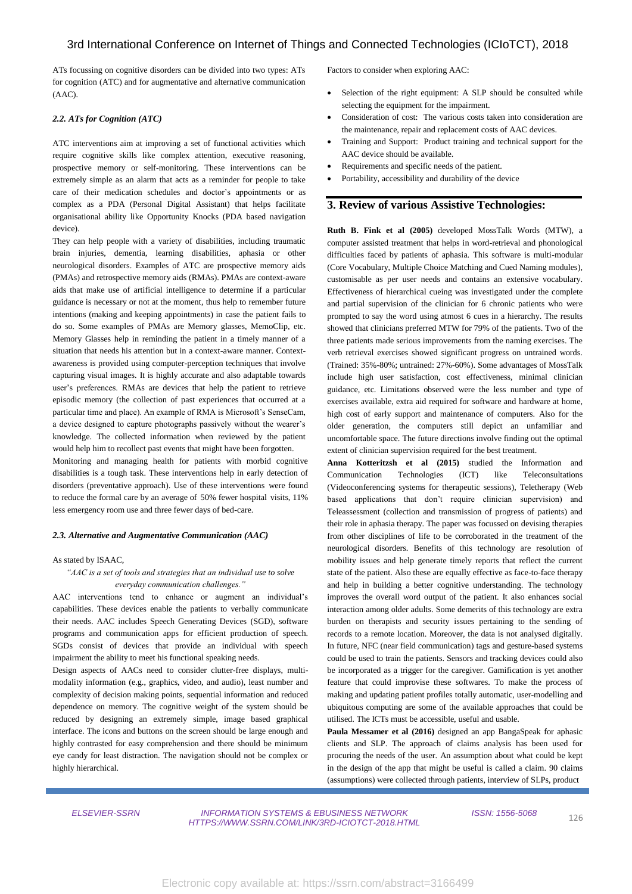ATs focussing on cognitive disorders can be divided into two types: ATs for cognition (ATC) and for augmentative and alternative communication (AAC).

## *2.2. ATs for Cognition (ATC)*

ATC interventions aim at improving a set of functional activities which require cognitive skills like complex attention, executive reasoning, prospective memory or self-monitoring. These interventions can be extremely simple as an alarm that acts as a reminder for people to take care of their medication schedules and doctor's appointments or as complex as a PDA (Personal Digital Assistant) that helps facilitate organisational ability like Opportunity Knocks (PDA based navigation device).

They can help people with a variety of disabilities, including traumatic brain injuries, dementia, learning disabilities, aphasia or other neurological disorders. Examples of ATC are prospective memory aids (PMAs) and retrospective memory aids (RMAs). PMAs are context-aware aids that make use of artificial intelligence to determine if a particular guidance is necessary or not at the moment, thus help to remember future intentions (making and keeping appointments) in case the patient fails to do so. Some examples of PMAs are Memory glasses, MemoClip, etc. Memory Glasses help in reminding the patient in a timely manner of a situation that needs his attention but in a context-aware manner. Contextawareness is provided using computer-perception techniques that involve capturing visual images. It is highly accurate and also adaptable towards user's preferences. RMAs are devices that help the patient to retrieve episodic memory (the collection of past experiences that occurred at a particular time and place). An example of RMA is Microsoft's SenseCam, a device designed to capture photographs passively without the wearer's knowledge. The collected information when reviewed by the patient would help him to recollect past events that might have been forgotten.

Monitoring and managing health for patients with morbid cognitive disabilities is a tough task. These interventions help in early detection of disorders (preventative approach). Use of these interventions were found to reduce the formal care by an average of 50% fewer hospital visits, 11% less emergency room use and three fewer days of bed-care.

#### *2.3. Alternative and Augmentative Communication (AAC)*

## As stated by ISAAC,

## *"AAC is a set of tools and strategies that an individual use to solve everyday communication challenges."*

AAC interventions tend to enhance or augment an individual's capabilities. These devices enable the patients to verbally communicate their needs. AAC includes Speech Generating Devices (SGD), software programs and communication apps for efficient production of speech. SGDs consist of devices that provide an individual with speech impairment the ability to meet his functional speaking needs.

Design aspects of AACs need to consider clutter-free displays, multimodality information (e.g., graphics, video, and audio), least number and complexity of decision making points, sequential information and reduced dependence on memory. The cognitive weight of the system should be reduced by designing an extremely simple, image based graphical interface. The icons and buttons on the screen should be large enough and highly contrasted for easy comprehension and there should be minimum eye candy for least distraction. The navigation should not be complex or highly hierarchical.

Factors to consider when exploring AAC:

- Selection of the right equipment: A SLP should be consulted while selecting the equipment for the impairment.
- Consideration of cost: The various costs taken into consideration are the maintenance, repair and replacement costs of AAC devices.
- Training and Support: Product training and technical support for the AAC device should be available.
- Requirements and specific needs of the patient.
- Portability, accessibility and durability of the device

## **3. Review of various Assistive Technologies:**

**Ruth B. Fink et al (2005)** developed MossTalk Words (MTW), a computer assisted treatment that helps in word-retrieval and phonological difficulties faced by patients of aphasia. This software is multi-modular (Core Vocabulary, Multiple Choice Matching and Cued Naming modules), customisable as per user needs and contains an extensive vocabulary. Effectiveness of hierarchical cueing was investigated under the complete and partial supervision of the clinician for 6 chronic patients who were prompted to say the word using atmost 6 cues in a hierarchy. The results showed that clinicians preferred MTW for 79% of the patients. Two of the three patients made serious improvements from the naming exercises. The verb retrieval exercises showed significant progress on untrained words. (Trained: 35%-80%; untrained: 27%-60%). Some advantages of MossTalk include high user satisfaction, cost effectiveness, minimal clinician guidance, etc. Limitations observed were the less number and type of exercises available, extra aid required for software and hardware at home, high cost of early support and maintenance of computers. Also for the older generation, the computers still depict an unfamiliar and uncomfortable space. The future directions involve finding out the optimal extent of clinician supervision required for the best treatment.

**Anna Kotteritzsh et al (2015)** studied the Information and Communication Technologies (ICT) like Teleconsultations (Videoconferencing systems for therapeutic sessions), Teletherapy (Web based applications that don't require clinician supervision) and Teleassessment (collection and transmission of progress of patients) and their role in aphasia therapy. The paper was focussed on devising therapies from other disciplines of life to be corroborated in the treatment of the neurological disorders. Benefits of this technology are resolution of mobility issues and help generate timely reports that reflect the current state of the patient. Also these are equally effective as face-to-face therapy and help in building a better cognitive understanding. The technology improves the overall word output of the patient. It also enhances social interaction among older adults. Some demerits of this technology are extra burden on therapists and security issues pertaining to the sending of records to a remote location. Moreover, the data is not analysed digitally. In future, NFC (near field communication) tags and gesture-based systems could be used to train the patients. Sensors and tracking devices could also be incorporated as a trigger for the caregiver. Gamification is yet another feature that could improvise these softwares. To make the process of making and updating patient profiles totally automatic, user-modelling and ubiquitous computing are some of the available approaches that could be utilised. The ICTs must be accessible, useful and usable.

**Paula Messamer et al (2016)** designed an app BangaSpeak for aphasic clients and SLP. The approach of claims analysis has been used for procuring the needs of the user. An assumption about what could be kept in the design of the app that might be useful is called a claim. 90 claims (assumptions) were collected through patients, interview of SLPs, product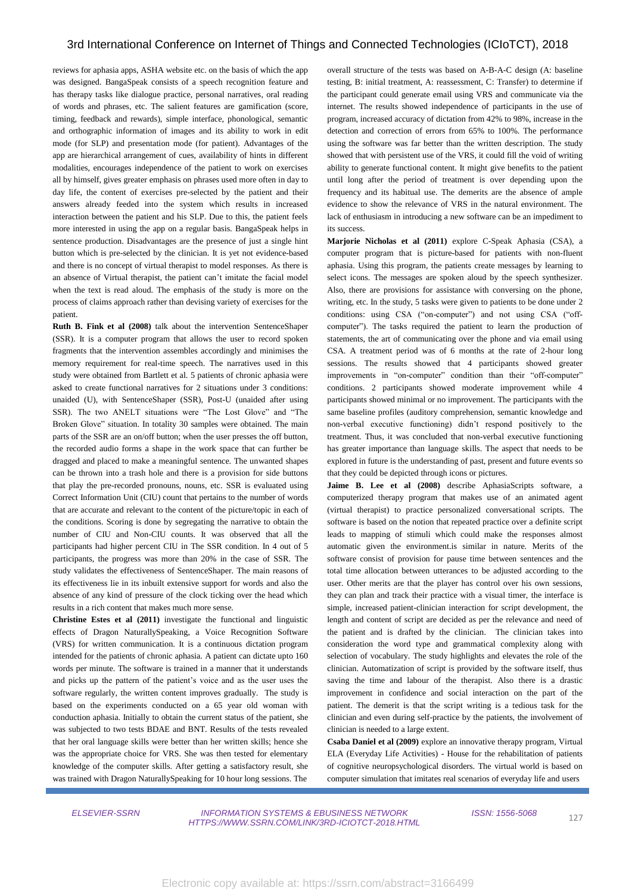reviews for aphasia apps, ASHA website etc. on the basis of which the app was designed. BangaSpeak consists of a speech recognition feature and has therapy tasks like dialogue practice, personal narratives, oral reading of words and phrases, etc. The salient features are gamification (score, timing, feedback and rewards), simple interface, phonological, semantic and orthographic information of images and its ability to work in edit mode (for SLP) and presentation mode (for patient). Advantages of the app are hierarchical arrangement of cues, availability of hints in different modalities, encourages independence of the patient to work on exercises all by himself, gives greater emphasis on phrases used more often in day to day life, the content of exercises pre-selected by the patient and their answers already feeded into the system which results in increased interaction between the patient and his SLP. Due to this, the patient feels more interested in using the app on a regular basis. BangaSpeak helps in sentence production. Disadvantages are the presence of just a single hint button which is pre-selected by the clinician. It is yet not evidence-based and there is no concept of virtual therapist to model responses. As there is an absence of Virtual therapist, the patient can't imitate the facial model when the text is read aloud. The emphasis of the study is more on the process of claims approach rather than devising variety of exercises for the patient.

**Ruth B. Fink et al (2008)** talk about the intervention SentenceShaper (SSR). It is a computer program that allows the user to record spoken fragments that the intervention assembles accordingly and minimises the memory requirement for real-time speech. The narratives used in this study were obtained from Bartlett et al. 5 patients of chronic aphasia were asked to create functional narratives for 2 situations under 3 conditions: unaided (U), with SentenceShaper (SSR), Post-U (unaided after using SSR). The two ANELT situations were "The Lost Glove" and "The Broken Glove" situation. In totality 30 samples were obtained. The main parts of the SSR are an on/off button; when the user presses the off button, the recorded audio forms a shape in the work space that can further be dragged and placed to make a meaningful sentence. The unwanted shapes can be thrown into a trash hole and there is a provision for side buttons that play the pre-recorded pronouns, nouns, etc. SSR is evaluated using Correct Information Unit (CIU) count that pertains to the number of words that are accurate and relevant to the content of the picture/topic in each of the conditions. Scoring is done by segregating the narrative to obtain the number of CIU and Non-CIU counts. It was observed that all the participants had higher percent CIU in The SSR condition. In 4 out of 5 participants, the progress was more than 20% in the case of SSR. The study validates the effectiveness of SentenceShaper. The main reasons of its effectiveness lie in its inbuilt extensive support for words and also the absence of any kind of pressure of the clock ticking over the head which results in a rich content that makes much more sense.

**Christine Estes et al (2011)** investigate the functional and linguistic effects of Dragon NaturallySpeaking, a Voice Recognition Software (VRS) for written communication. It is a continuous dictation program intended for the patients of chronic aphasia. A patient can dictate upto 160 words per minute. The software is trained in a manner that it understands and picks up the pattern of the patient's voice and as the user uses the software regularly, the written content improves gradually. The study is based on the experiments conducted on a 65 year old woman with conduction aphasia. Initially to obtain the current status of the patient, she was subjected to two tests BDAE and BNT. Results of the tests revealed that her oral language skills were better than her written skills; hence she was the appropriate choice for VRS. She was then tested for elementary knowledge of the computer skills. After getting a satisfactory result, she was trained with Dragon NaturallySpeaking for 10 hour long sessions. The

overall structure of the tests was based on A-B-A-C design (A: baseline testing, B: initial treatment, A: reassessment, C: Transfer) to determine if the participant could generate email using VRS and communicate via the internet. The results showed independence of participants in the use of program, increased accuracy of dictation from 42% to 98%, increase in the detection and correction of errors from 65% to 100%. The performance using the software was far better than the written description. The study showed that with persistent use of the VRS, it could fill the void of writing ability to generate functional content. It might give benefits to the patient until long after the period of treatment is over depending upon the frequency and its habitual use. The demerits are the absence of ample evidence to show the relevance of VRS in the natural environment. The lack of enthusiasm in introducing a new software can be an impediment to its success.

**Marjorie Nicholas et al (2011)** explore C-Speak Aphasia (CSA), a computer program that is picture-based for patients with non-fluent aphasia. Using this program, the patients create messages by learning to select icons. The messages are spoken aloud by the speech synthesizer. Also, there are provisions for assistance with conversing on the phone, writing, etc. In the study, 5 tasks were given to patients to be done under 2 conditions: using CSA ("on-computer") and not using CSA ("offcomputer"). The tasks required the patient to learn the production of statements, the art of communicating over the phone and via email using CSA. A treatment period was of 6 months at the rate of 2-hour long sessions. The results showed that 4 participants showed greater improvements in "on-computer" condition than their "off-computer" conditions. 2 participants showed moderate improvement while 4 participants showed minimal or no improvement. The participants with the same baseline profiles (auditory comprehension, semantic knowledge and non-verbal executive functioning) didn't respond positively to the treatment. Thus, it was concluded that non-verbal executive functioning has greater importance than language skills. The aspect that needs to be explored in future is the understanding of past, present and future events so that they could be depicted through icons or pictures.

**Jaime B. Lee et al (2008)** describe AphasiaScripts software, a computerized therapy program that makes use of an animated agent (virtual therapist) to practice personalized conversational scripts. The software is based on the notion that repeated practice over a definite script leads to mapping of stimuli which could make the responses almost automatic given the environment.is similar in nature. Merits of the software consist of provision for pause time between sentences and the total time allocation between utterances to be adjusted according to the user. Other merits are that the player has control over his own sessions, they can plan and track their practice with a visual timer, the interface is simple, increased patient-clinician interaction for script development, the length and content of script are decided as per the relevance and need of the patient and is drafted by the clinician. The clinician takes into consideration the word type and grammatical complexity along with selection of vocabulary. The study highlights and elevates the role of the clinician. Automatization of script is provided by the software itself, thus saving the time and labour of the therapist. Also there is a drastic improvement in confidence and social interaction on the part of the patient. The demerit is that the script writing is a tedious task for the clinician and even during self-practice by the patients, the involvement of clinician is needed to a large extent.

**Csaba Daniel et al (2009)** explore an innovative therapy program, Virtual ELA (Everyday Life Activities) - House for the rehabilitation of patients of cognitive neuropsychological disorders. The virtual world is based on computer simulation that imitates real scenarios of everyday life and users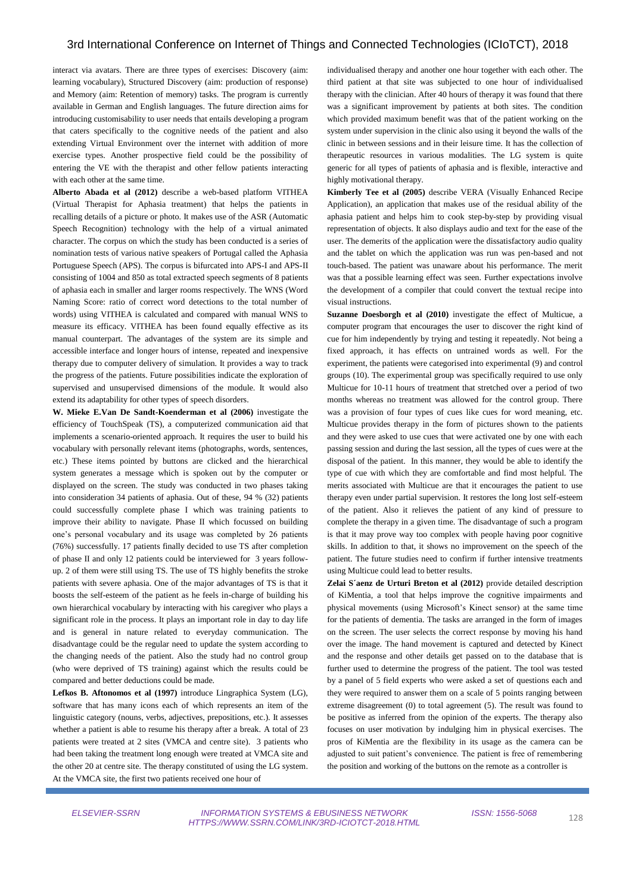# 3rd International Conference on Internet of Things and Connected Technologies (ICIoTCT), 2018

interact via avatars. There are three types of exercises: Discovery (aim: learning vocabulary), Structured Discovery (aim: production of response) and Memory (aim: Retention of memory) tasks. The program is currently available in German and English languages. The future direction aims for introducing customisability to user needs that entails developing a program that caters specifically to the cognitive needs of the patient and also extending Virtual Environment over the internet with addition of more exercise types. Another prospective field could be the possibility of entering the VE with the therapist and other fellow patients interacting with each other at the same time.

**Alberto Abada et al (2012)** describe a web-based platform VITHEA (Virtual Therapist for Aphasia treatment) that helps the patients in recalling details of a picture or photo. It makes use of the ASR (Automatic Speech Recognition) technology with the help of a virtual animated character. The corpus on which the study has been conducted is a series of nomination tests of various native speakers of Portugal called the Aphasia Portuguese Speech (APS). The corpus is bifurcated into APS-I and APS-II consisting of 1004 and 850 as total extracted speech segments of 8 patients of aphasia each in smaller and larger rooms respectively. The WNS (Word Naming Score: ratio of correct word detections to the total number of words) using VITHEA is calculated and compared with manual WNS to measure its efficacy. VITHEA has been found equally effective as its manual counterpart. The advantages of the system are its simple and accessible interface and longer hours of intense, repeated and inexpensive therapy due to computer delivery of simulation. It provides a way to track the progress of the patients. Future possibilities indicate the exploration of supervised and unsupervised dimensions of the module. It would also extend its adaptability for other types of speech disorders.

**W. Mieke E.Van De Sandt-Koenderman et al (2006)** investigate the efficiency of TouchSpeak (TS), a computerized communication aid that implements a scenario-oriented approach. It requires the user to build his vocabulary with personally relevant items (photographs, words, sentences, etc.) These items pointed by buttons are clicked and the hierarchical system generates a message which is spoken out by the computer or displayed on the screen. The study was conducted in two phases taking into consideration 34 patients of aphasia. Out of these, 94 % (32) patients could successfully complete phase I which was training patients to improve their ability to navigate. Phase II which focussed on building one's personal vocabulary and its usage was completed by 26 patients (76%) successfully. 17 patients finally decided to use TS after completion of phase II and only 12 patients could be interviewed for 3 years followup. 2 of them were still using TS. The use of TS highly benefits the stroke patients with severe aphasia. One of the major advantages of TS is that it boosts the self-esteem of the patient as he feels in-charge of building his own hierarchical vocabulary by interacting with his caregiver who plays a significant role in the process. It plays an important role in day to day life and is general in nature related to everyday communication. The disadvantage could be the regular need to update the system according to the changing needs of the patient. Also the study had no control group (who were deprived of TS training) against which the results could be compared and better deductions could be made.

**Lefkos B. Aftonomos et al (1997)** introduce Lingraphica System (LG), software that has many icons each of which represents an item of the linguistic category (nouns, verbs, adjectives, prepositions, etc.). It assesses whether a patient is able to resume his therapy after a break. A total of 23 patients were treated at 2 sites (VMCA and centre site). 3 patients who had been taking the treatment long enough were treated at VMCA site and the other 20 at centre site. The therapy constituted of using the LG system. At the VMCA site, the first two patients received one hour of

individualised therapy and another one hour together with each other. The third patient at that site was subjected to one hour of individualised therapy with the clinician. After 40 hours of therapy it was found that there was a significant improvement by patients at both sites. The condition which provided maximum benefit was that of the patient working on the system under supervision in the clinic also using it beyond the walls of the clinic in between sessions and in their leisure time. It has the collection of therapeutic resources in various modalities. The LG system is quite generic for all types of patients of aphasia and is flexible, interactive and highly motivational therapy.

**Kimberly Tee et al (2005)** describe VERA (Visually Enhanced Recipe Application), an application that makes use of the residual ability of the aphasia patient and helps him to cook step-by-step by providing visual representation of objects. It also displays audio and text for the ease of the user. The demerits of the application were the dissatisfactory audio quality and the tablet on which the application was run was pen-based and not touch-based. The patient was unaware about his performance. The merit was that a possible learning effect was seen. Further expectations involve the development of a compiler that could convert the textual recipe into visual instructions.

**Suzanne Doesborgh et al (2010)** investigate the effect of Multicue, a computer program that encourages the user to discover the right kind of cue for him independently by trying and testing it repeatedly. Not being a fixed approach, it has effects on untrained words as well. For the experiment, the patients were categorised into experimental (9) and control groups (10). The experimental group was specifically required to use only Multicue for 10-11 hours of treatment that stretched over a period of two months whereas no treatment was allowed for the control group. There was a provision of four types of cues like cues for word meaning, etc. Multicue provides therapy in the form of pictures shown to the patients and they were asked to use cues that were activated one by one with each passing session and during the last session, all the types of cues were at the disposal of the patient. In this manner, they would be able to identify the type of cue with which they are comfortable and find most helpful. The merits associated with Multicue are that it encourages the patient to use therapy even under partial supervision. It restores the long lost self-esteem of the patient. Also it relieves the patient of any kind of pressure to complete the therapy in a given time. The disadvantage of such a program is that it may prove way too complex with people having poor cognitive skills. In addition to that, it shows no improvement on the speech of the patient. The future studies need to confirm if further intensive treatments using Multicue could lead to better results.

**Zelai S´aenz de Urturi Breton et al (2012)** provide detailed description of KiMentia, a tool that helps improve the cognitive impairments and physical movements (using Microsoft's Kinect sensor) at the same time for the patients of dementia. The tasks are arranged in the form of images on the screen. The user selects the correct response by moving his hand over the image. The hand movement is captured and detected by Kinect and the response and other details get passed on to the database that is further used to determine the progress of the patient. The tool was tested by a panel of 5 field experts who were asked a set of questions each and they were required to answer them on a scale of 5 points ranging between extreme disagreement (0) to total agreement (5). The result was found to be positive as inferred from the opinion of the experts. The therapy also focuses on user motivation by indulging him in physical exercises. The pros of KiMentia are the flexibility in its usage as the camera can be adjusted to suit patient's convenience. The patient is free of remembering the position and working of the buttons on the remote as a controller is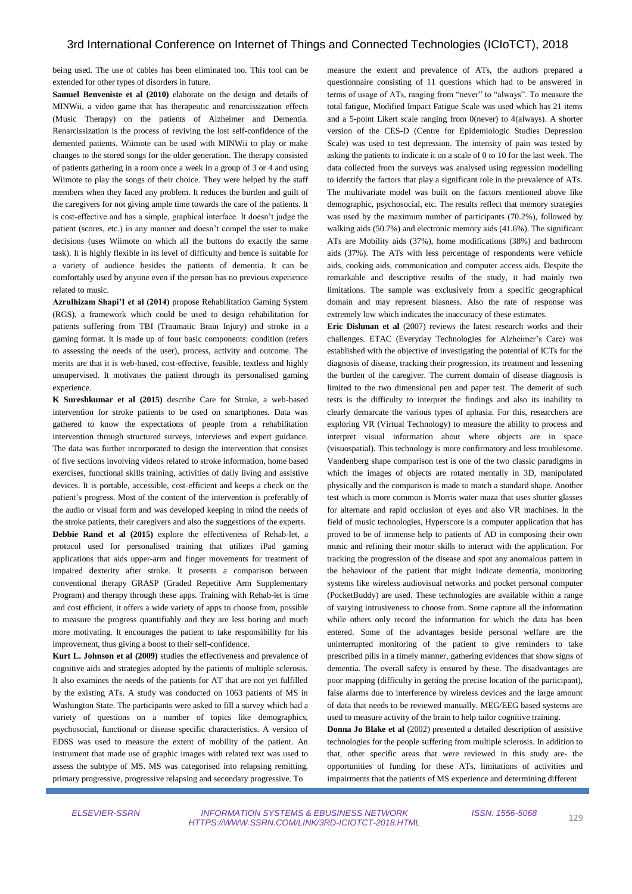being used. The use of cables has been eliminated too. This tool can be extended for other types of disorders in future.

**Samuel Benveniste et al (2010)** elaborate on the design and details of MINWii, a video game that has therapeutic and renarcissization effects (Music Therapy) on the patients of Alzheimer and Dementia. Renarcissization is the process of reviving the lost self-confidence of the demented patients. Wiimote can be used with MINWii to play or make changes to the stored songs for the older generation. The therapy consisted of patients gathering in a room once a week in a group of 3 or 4 and using Wiimote to play the songs of their choice. They were helped by the staff members when they faced any problem. It reduces the burden and guilt of the caregivers for not giving ample time towards the care of the patients. It is cost-effective and has a simple, graphical interface. It doesn't judge the patient (scores, etc.) in any manner and doesn't compel the user to make decisions (uses Wiimote on which all the buttons do exactly the same task). It is highly flexible in its level of difficulty and hence is suitable for a variety of audience besides the patients of dementia. It can be comfortably used by anyone even if the person has no previous experience related to music.

**Azrulhizam Shapi'I et al (2014)** propose Rehabilitation Gaming System (RGS), a framework which could be used to design rehabilitation for patients suffering from TBI (Traumatic Brain Injury) and stroke in a gaming format. It is made up of four basic components: condition (refers to assessing the needs of the user), process, activity and outcome. The merits are that it is web-based, cost-effective, feasible, textless and highly unsupervised. It motivates the patient through its personalised gaming experience.

**K Sureshkumar et al (2015)** describe Care for Stroke, a web-based intervention for stroke patients to be used on smartphones. Data was gathered to know the expectations of people from a rehabilitation intervention through structured surveys, interviews and expert guidance. The data was further incorporated to design the intervention that consists of five sections involving videos related to stroke information, home based exercises, functional skills training, activities of daily living and assistive devices. It is portable, accessible, cost-efficient and keeps a check on the patient's progress. Most of the content of the intervention is preferably of the audio or visual form and was developed keeping in mind the needs of the stroke patients, their caregivers and also the suggestions of the experts.

**Debbie Rand et al (2015)** explore the effectiveness of Rehab-let, a protocol used for personalised training that utilizes iPad gaming applications that aids upper-arm and finger movements for treatment of impaired dexterity after stroke. It presents a comparison between conventional therapy GRASP (Graded Repetitive Arm Supplementary Program) and therapy through these apps. Training with Rehab-let is time and cost efficient, it offers a wide variety of apps to choose from, possible to measure the progress quantifiably and they are less boring and much more motivating. It encourages the patient to take responsibility for his improvement, thus giving a boost to their self-confidence.

**Kurt L. Johnson et al (2009)** studies the effectiveness and prevalence of cognitive aids and strategies adopted by the patients of multiple sclerosis. It also examines the needs of the patients for AT that are not yet fulfilled by the existing ATs. A study was conducted on 1063 patients of MS in Washington State. The participants were asked to fill a survey which had a variety of questions on a number of topics like demographics, psychosocial, functional or disease specific characteristics. A version of EDSS was used to measure the extent of mobility of the patient. An instrument that made use of graphic images with related text was used to assess the subtype of MS. MS was categorised into relapsing remitting, primary progressive, progressive relapsing and secondary progressive. To

measure the extent and prevalence of ATs, the authors prepared a questionnaire consisting of 11 questions which had to be answered in terms of usage of ATs, ranging from "never" to "always". To measure the total fatigue, Modified Impact Fatigue Scale was used which has 21 items and a 5-point Likert scale ranging from 0(never) to 4(always). A shorter version of the CES-D (Centre for Epidemiologic Studies Depression Scale) was used to test depression. The intensity of pain was tested by asking the patients to indicate it on a scale of 0 to 10 for the last week. The data collected from the surveys was analysed using regression modelling to identify the factors that play a significant role in the prevalence of ATs. The multivariate model was built on the factors mentioned above like demographic, psychosocial, etc. The results reflect that memory strategies was used by the maximum number of participants (70.2%), followed by walking aids (50.7%) and electronic memory aids (41.6%). The significant ATs are Mobility aids (37%), home modifications (38%) and bathroom aids (37%). The ATs with less percentage of respondents were vehicle aids, cooking aids, communication and computer access aids. Despite the remarkable and descriptive results of the study, it had mainly two limitations. The sample was exclusively from a specific geographical domain and may represent biasness. Also the rate of response was extremely low which indicates the inaccuracy of these estimates.

**Eric Dishman et al** (2007) reviews the latest research works and their challenges. ETAC (Everyday Technologies for Alzheimer's Care) was established with the objective of investigating the potential of ICTs for the diagnosis of disease, tracking their progression, its treatment and lessening the burden of the caregiver. The current domain of disease diagnosis is limited to the two dimensional pen and paper test. The demerit of such tests is the difficulty to interpret the findings and also its inability to clearly demarcate the various types of aphasia. For this, researchers are exploring VR (Virtual Technology) to measure the ability to process and interpret visual information about where objects are in space (visuospatial). This technology is more confirmatory and less troublesome. Vandenberg shape comparison test is one of the two classic paradigms in which the images of objects are rotated mentally in 3D, manipulated physically and the comparison is made to match a standard shape. Another test which is more common is Morris water maza that uses shutter glasses for alternate and rapid occlusion of eyes and also VR machines. In the field of music technologies, Hyperscore is a computer application that has proved to be of immense help to patients of AD in composing their own music and refining their motor skills to interact with the application. For tracking the progression of the disease and spot any anomalous pattern in the behaviour of the patient that might indicate dementia, monitoring systems like wireless audiovisual networks and pocket personal computer (PocketBuddy) are used. These technologies are available within a range of varying intrusiveness to choose from. Some capture all the information while others only record the information for which the data has been entered. Some of the advantages beside personal welfare are the uninterrupted monitoring of the patient to give reminders to take prescribed pills in a timely manner, gathering evidences that show signs of dementia. The overall safety is ensured by these. The disadvantages are poor mapping (difficulty in getting the precise location of the participant), false alarms due to interference by wireless devices and the large amount of data that needs to be reviewed manually. MEG/EEG based systems are used to measure activity of the brain to help tailor cognitive training.

**Donna Jo Blake et al** (2002) presented a detailed description of assistive technologies for the people suffering from multiple sclerosis. In addition to that, other specific areas that were reviewed in this study are- the opportunities of funding for these ATs, limitations of activities and impairments that the patients of MS experience and determining different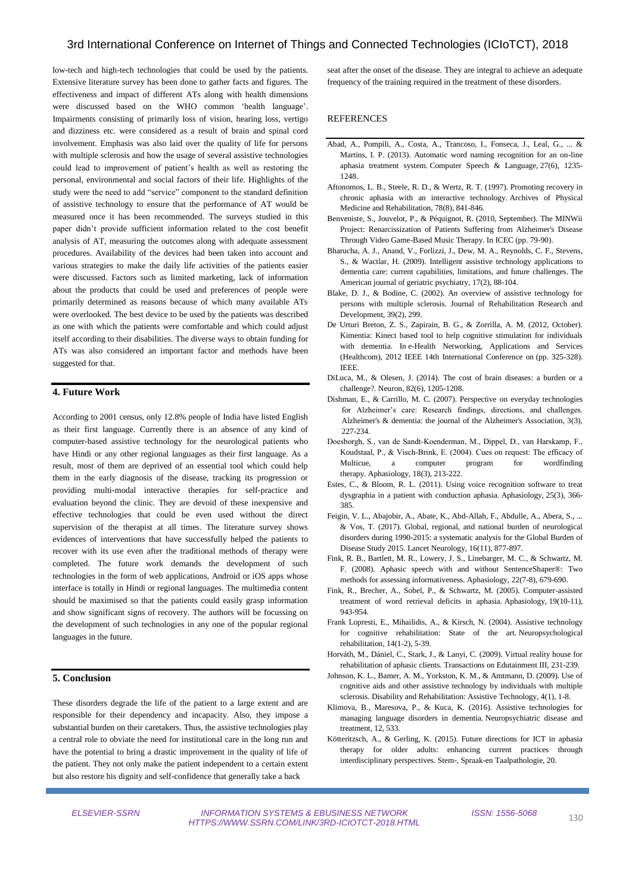low-tech and high-tech technologies that could be used by the patients. Extensive literature survey has been done to gather facts and figures. The effectiveness and impact of different ATs along with health dimensions were discussed based on the WHO common 'health language'. Impairments consisting of primarily loss of vision, hearing loss, vertigo and dizziness etc. were considered as a result of brain and spinal cord involvement. Emphasis was also laid over the quality of life for persons with multiple sclerosis and how the usage of several assistive technologies could lead to improvement of patient's health as well as restoring the personal, environmental and social factors of their life. Highlights of the study were the need to add "service" component to the standard definition of assistive technology to ensure that the performance of AT would be measured once it has been recommended. The surveys studied in this paper didn't provide sufficient information related to the cost benefit analysis of AT, measuring the outcomes along with adequate assessment procedures. Availability of the devices had been taken into account and various strategies to make the daily life activities of the patients easier were discussed. Factors such as limited marketing, lack of information about the products that could be used and preferences of people were primarily determined as reasons because of which many available ATs were overlooked. The best device to be used by the patients was described as one with which the patients were comfortable and which could adjust itself according to their disabilities. The diverse ways to obtain funding for ATs was also considered an important factor and methods have been suggested for that.

# **4. Future Work**

According to 2001 census, only 12.8% people of India have listed English as their first language. Currently there is an absence of any kind of computer-based assistive technology for the neurological patients who have Hindi or any other regional languages as their first language. As a result, most of them are deprived of an essential tool which could help them in the early diagnosis of the disease, tracking its progression or providing multi-modal interactive therapies for self-practice and evaluation beyond the clinic. They are devoid of these inexpensive and effective technologies that could be even used without the direct supervision of the therapist at all times. The literature survey shows evidences of interventions that have successfully helped the patients to recover with its use even after the traditional methods of therapy were completed. The future work demands the development of such technologies in the form of web applications, Android or iOS apps whose interface is totally in Hindi or regional languages. The multimedia content should be maximised so that the patients could easily grasp information and show significant signs of recovery. The authors will be focussing on the development of such technologies in any one of the popular regional languages in the future.

## **5. Conclusion**

These disorders degrade the life of the patient to a large extent and are responsible for their dependency and incapacity. Also, they impose a substantial burden on their caretakers. Thus, the assistive technologies play a central role to obviate the need for institutional care in the long run and have the potential to bring a drastic improvement in the quality of life of the patient. They not only make the patient independent to a certain extent but also restore his dignity and self-confidence that generally take a back

seat after the onset of the disease. They are integral to achieve an adequate frequency of the training required in the treatment of these disorders.

#### REFERENCES

- Abad, A., Pompili, A., Costa, A., Trancoso, I., Fonseca, J., Leal, G., ... & Martins, I. P. (2013). Automatic word naming recognition for an on-line aphasia treatment system. Computer Speech & Language, 27(6), 1235- 1248.
- Aftonomos, L. B., Steele, R. D., & Wertz, R. T. (1997). Promoting recovery in chronic aphasia with an interactive technology. Archives of Physical Medicine and Rehabilitation, 78(8), 841-846.
- Benveniste, S., Jouvelot, P., & Péquignot, R. (2010, September). The MINWii Project: Renarcissization of Patients Suffering from Alzheimer's Disease Through Video Game-Based Music Therapy. In ICEC (pp. 79-90).
- Bharucha, A. J., Anand, V., Forlizzi, J., Dew, M. A., Reynolds, C. F., Stevens, S., & Wactlar, H. (2009). Intelligent assistive technology applications to dementia care: current capabilities, limitations, and future challenges. The American journal of geriatric psychiatry, 17(2), 88-104.
- Blake, D. J., & Bodine, C. (2002). An overview of assistive technology for persons with multiple sclerosis. Journal of Rehabilitation Research and Development, 39(2), 299.
- De Urturi Breton, Z. S., Zapirain, B. G., & Zorrilla, A. M. (2012, October). Kimentia: Kinect based tool to help cognitive stimulation for individuals with dementia. In e-Health Networking, Applications and Services (Healthcom), 2012 IEEE 14th International Conference on (pp. 325-328). IEEE.
- DiLuca, M., & Olesen, J. (2014). The cost of brain diseases: a burden or a challenge?. Neuron, 82(6), 1205-1208.
- Dishman, E., & Carrillo, M. C. (2007). Perspective on everyday technologies for Alzheimer's care: Research findings, directions, and challenges. Alzheimer's & dementia: the journal of the Alzheimer's Association, 3(3), 227-234.
- Doesborgh, S., van de Sandt‐Koenderman, M., Dippel, D., van Harskamp, F., Koudstaal, P., & Visch‐Brink, E. (2004). Cues on request: The efficacy of Multicue, a computer program for wordfinding therapy. Aphasiology, 18(3), 213-222.
- Estes, C., & Bloom, R. L. (2011). Using voice recognition software to treat dysgraphia in a patient with conduction aphasia. Aphasiology, 25(3), 366- 385.
- Feigin, V. L., Abajobir, A., Abate, K., Abd-Allah, F., Abdulle, A., Abera, S., ... & Vos, T. (2017). Global, regional, and national burden of neurological disorders during 1990-2015: a systematic analysis for the Global Burden of Disease Study 2015. Lancet Neurology, 16(11), 877-897.
- Fink, R. B., Bartlett, M. R., Lowery, J. S., Linebarger, M. C., & Schwartz, M. F. (2008). Aphasic speech with and without SentenceShaper®: Two methods for assessing informativeness. Aphasiology, 22(7-8), 679-690.
- Fink, R., Brecher, A., Sobel, P., & Schwartz, M. (2005). Computer-assisted treatment of word retrieval deficits in aphasia. Aphasiology, 19(10-11), 943-954.
- Frank Lopresti, E., Mihailidis, A., & Kirsch, N. (2004). Assistive technology for cognitive rehabilitation: State of the art. Neuropsychological rehabilitation, 14(1-2), 5-39.
- Horváth, M., Dániel, C., Stark, J., & Lanyi, C. (2009). Virtual reality house for rehabilitation of aphasic clients. Transactions on Edutainment III, 231-239.
- Johnson, K. L., Bamer, A. M., Yorkston, K. M., & Amtmann, D. (2009). Use of cognitive aids and other assistive technology by individuals with multiple sclerosis. Disability and Rehabilitation: Assistive Technology, 4(1), 1-8.
- Klimova, B., Maresova, P., & Kuca, K. (2016). Assistive technologies for managing language disorders in dementia. Neuropsychiatric disease and treatment, 12, 533.
- Kötteritzsch, A., & Gerling, K. (2015). Future directions for ICT in aphasia therapy for older adults: enhancing current practices through interdisciplinary perspectives. Stem-, Spraak-en Taalpathologie, 20.